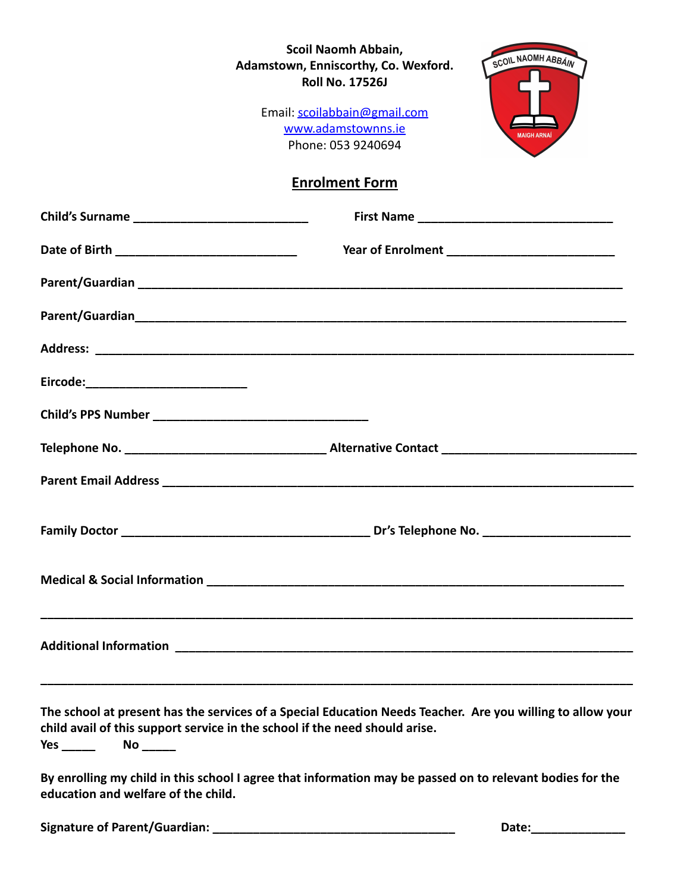## **Scoil Naomh Abbain, Adamstown, Enniscorthy, Co. Wexford. Roll No. 17526J**

SCOIL NAOMH ABBÁIN

Email: [scoilabbain@gmail.com](mailto:scoilabbain@gmail.com) [www.adamstownns.ie](http://www.adamstownns.ie) Phone: 053 9240694

## **Enrolment Form**

| Eircode:____________________________                                                       |                                                                                                            |
|--------------------------------------------------------------------------------------------|------------------------------------------------------------------------------------------------------------|
|                                                                                            |                                                                                                            |
|                                                                                            |                                                                                                            |
|                                                                                            |                                                                                                            |
|                                                                                            |                                                                                                            |
|                                                                                            |                                                                                                            |
|                                                                                            |                                                                                                            |
| child avail of this support service in the school if the need should arise.<br>Yes _______ | The school at present has the services of a Special Education Needs Teacher. Are you willing to allow your |
| education and welfare of the child.                                                        | By enrolling my child in this school I agree that information may be passed on to relevant bodies for the  |

**Signature of Parent/Guardian: \_\_\_\_\_\_\_\_\_\_\_\_\_\_\_\_\_\_\_\_\_\_\_\_\_\_\_\_\_\_\_\_\_\_\_\_ Date:\_\_\_\_\_\_\_\_\_\_\_\_\_\_**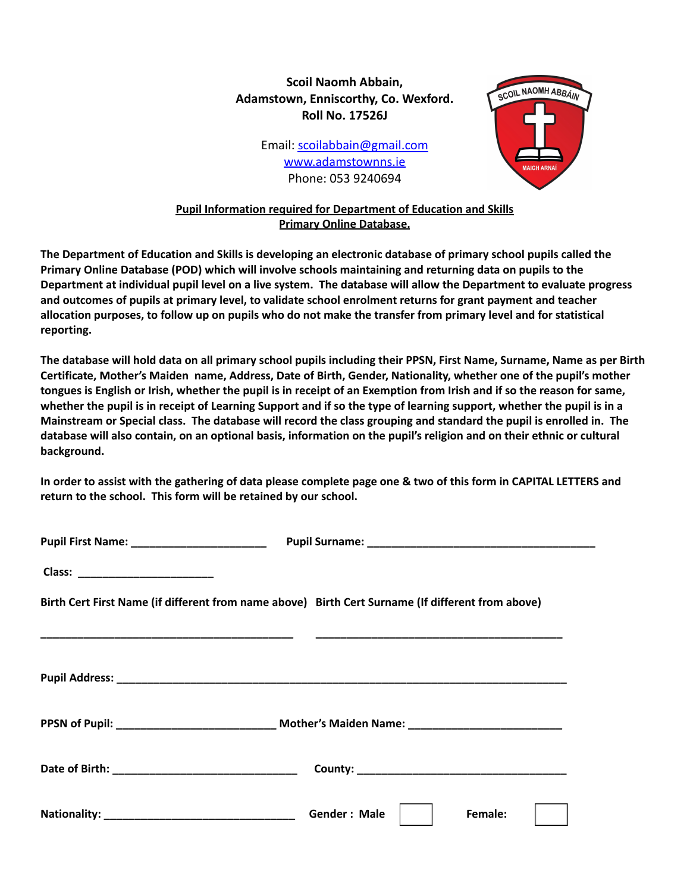## **Scoil Naomh Abbain, Adamstown, Enniscorthy, Co. Wexford. Roll No. 17526J**

Email: [scoilabbain@gmail.com](mailto:scoilabbain@gmail.com) [www.adamstownns.ie](http://www.adamstownns.ie) Phone: 053 9240694



## **Pupil Information required for Department of Education and Skills Primary Online Database.**

The Department of Education and Skills is developing an electronic database of primary school pupils called the **Primary Online Database (POD) which will involve schools maintaining and returning data on pupils to the** Department at individual pupil level on a live system. The database will allow the Department to evaluate progress and outcomes of pupils at primary level, to validate school enrolment returns for grant payment and teacher allocation purposes, to follow up on pupils who do not make the transfer from primary level and for statistical **reporting.**

The database will hold data on all primary school pupils including their PPSN, First Name, Surname, Name as per Birth Certificate, Mother's Maiden name, Address, Date of Birth, Gender, Nationality, whether one of the pupil's mother tongues is English or Irish, whether the pupil is in receipt of an Exemption from Irish and if so the reason for same, whether the pupil is in receipt of Learning Support and if so the type of learning support, whether the pupil is in a Mainstream or Special class. The database will record the class grouping and standard the pupil is enrolled in. The database will also contain, on an optional basis, information on the pupil's religion and on their ethnic or cultural **background.**

In order to assist with the gathering of data please complete page one & two of this form in CAPITAL LETTERS and **return to the school. This form will be retained by our school.**

| Birth Cert First Name (if different from name above) Birth Cert Surname (If different from above)   |
|-----------------------------------------------------------------------------------------------------|
|                                                                                                     |
|                                                                                                     |
| PPSN of Pupil: __________________________________ Mother's Maiden Name: ___________________________ |
|                                                                                                     |
| Gender: Male  <br>Female:                                                                           |